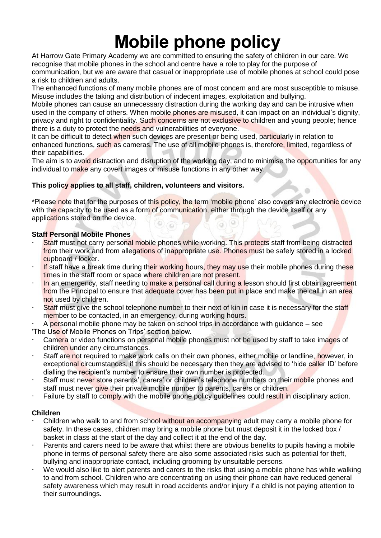# **Mobile phone policy**

At Harrow Gate Primary Academy we are committed to ensuring the safety of children in our care. We recognise that mobile phones in the school and centre have a role to play for the purpose of communication, but we are aware that casual or inappropriate use of mobile phones at school could pose a risk to children and adults.

The enhanced functions of many mobile phones are of most concern and are most susceptible to misuse. Misuse includes the taking and distribution of indecent images, exploitation and bullying.

Mobile phones can cause an unnecessary distraction during the working day and can be intrusive when used in the company of others. When mobile phones are misused, it can impact on an individual's dignity, privacy and right to confidentiality. Such concerns are not exclusive to children and young people; hence there is a duty to protect the needs and vulnerabilities of everyone.

It can be difficult to detect when such devices are present or being used, particularly in relation to enhanced functions, such as cameras. The use of all mobile phones is, therefore, limited, regardless of their capabilities.

The aim is to avoid distraction and disruption of the working day, and to minimise the opportunities for any individual to make any covert images or misuse functions in any other way.

## **This policy applies to all staff, children, volunteers and visitors.**

\*Please note that for the purposes of this policy, the term 'mobile phone' also covers any electronic device with the capacity to be used as a form of communication, either through the device itself or any applications stored on the device. O) : 61 (a

## **Staff Personal Mobile Phones**

- Staff must not carry personal mobile phones while working. This protects staff from being distracted from their work and from allegations of inappropriate use. Phones must be safely stored in a locked cupboard / locker.
- If staff have a break time during their working hours, they may use their mobile phones during these times in the staff room or space where children are not present.
- In an emergency, staff needing to make a personal call during a lesson should first obtain agreement from the Principal to ensure that adequate cover has been put in place and make the call in an area not used by children.
- Staff must give the school telephone number to their next of kin in case it is necessary for the staff member to be contacted, in an emergency, during working hours.

 A personal mobile phone may be taken on school trips in accordance with guidance – see 'The Use of Mobile Phones on Trips' section below.

- Camera or video functions on personal mobile phones must not be used by staff to take images of children under any circumstances.
- Staff are not required to make work calls on their own phones, either mobile or landline, however, in exceptional circumstances, if this should be necessary then they are advised to 'hide caller ID' before dialling the recipient's number to ensure their own number is protected.
- Staff must never store parents', carers' or children's telephone numbers on their mobile phones and staff must never give their private mobile number to parents, carers or children.
- Failure by staff to comply with the mobile phone policy guidelines could result in disciplinary action.

## **Children**

- Children who walk to and from school without an accompanying adult may carry a mobile phone for safety. In these cases, children may bring a mobile phone but must deposit it in the locked box / basket in class at the start of the day and collect it at the end of the day.
- Parents and carers need to be aware that whilst there are obvious benefits to pupils having a mobile phone in terms of personal safety there are also some associated risks such as potential for theft, bullying and inappropriate contact, including grooming by unsuitable persons.
- We would also like to alert parents and carers to the risks that using a mobile phone has while walking to and from school. Children who are concentrating on using their phone can have reduced general safety awareness which may result in road accidents and/or injury if a child is not paying attention to their surroundings.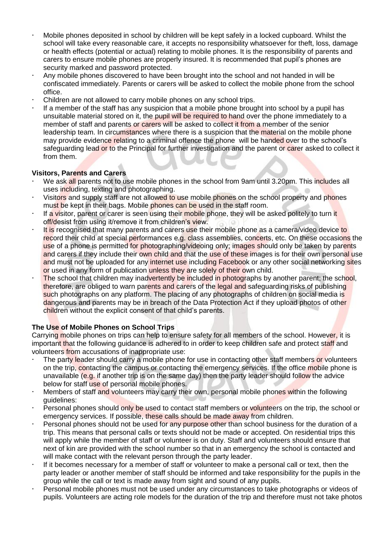- Mobile phones deposited in school by children will be kept safely in a locked cupboard. Whilst the school will take every reasonable care, it accepts no responsibility whatsoever for theft, loss, damage or health effects (potential or actual) relating to mobile phones. It is the responsibility of parents and carers to ensure mobile phones are properly insured. It is recommended that pupil's phones are security marked and password protected.
- Any mobile phones discovered to have been brought into the school and not handed in will be confiscated immediately. Parents or carers will be asked to collect the mobile phone from the school office.
- Children are not allowed to carry mobile phones on any school trips.
- If a member of the staff has any suspicion that a mobile phone brought into school by a pupil has unsuitable material stored on it, the pupil will be required to hand over the phone immediately to a member of staff and parents or carers will be asked to collect it from a member of the senior leadership team. In circumstances where there is a suspicion that the material on the mobile phone may provide evidence relating to a criminal offence the phone will be handed over to the school's safeguarding lead or to the Principal for further investigation and the parent or carer asked to collect it from them.

### **Visitors, Parents and Carers**

- We ask all parents not to use mobile phones in the school from 9am until 3.20pm. This includes all uses including, texting and photographing.
- Visitors and supply staff are not allowed to use mobile phones on the school property and phones must be kept in their bags. Mobile phones can be used in the staff room.
- If a visitor, parent or carer is seen using their mobile phone, they will be asked politely to turn it off/desist from using it/remove it from children's view.
- It is recognised that many parents and carers use their mobile phone as a camera/video device to record their child at special performances e.g. class assemblies, concerts, etc. On these occasions the use of a phone is permitted for photographing/videoing only; images should only be taken by parents and carers if they include their own child and that the use of these images is for their own personal use and must not be uploaded for any internet use including Facebook or any other social networking sites or used in any form of publication unless they are solely of their own child.
- The school that children may inadvertently be included in photographs by another parent; the school, therefore, are obliged to warn parents and carers of the legal and safeguarding risks of publishing such photographs on any platform. The placing of any photographs of children on social media is dangerous and parents may be in breach of the Data Protection Act if they upload photos of other children without the explicit consent of that child's parents.

## **The Use of Mobile Phones on School Trips**

Carrying mobile phones on trips can help to ensure safety for all members of the school. However, it is important that the following guidance is adhered to in order to keep children safe and protect staff and volunteers from accusations of inappropriate use:

- The party leader should carry a mobile phone for use in contacting other staff members or volunteers on the trip, contacting the campus or contacting the emergency services. If the office mobile phone is unavailable (e.g. if another trip is on the same day) then the party leader should follow the advice below for staff use of personal mobile phones.
- Members of staff and volunteers may carry their own, personal mobile phones within the following guidelines:
- Personal phones should only be used to contact staff members or volunteers on the trip, the school or emergency services. If possible, these calls should be made away from children.
- Personal phones should not be used for any purpose other than school business for the duration of a trip. This means that personal calls or texts should not be made or accepted. On residential trips this will apply while the member of staff or volunteer is on duty. Staff and volunteers should ensure that next of kin are provided with the school number so that in an emergency the school is contacted and will make contact with the relevant person through the party leader.
- If it becomes necessary for a member of staff or volunteer to make a personal call or text, then the party leader or another member of staff should be informed and take responsibility for the pupils in the group while the call or text is made away from sight and sound of any pupils.
- Personal mobile phones must not be used under any circumstances to take photographs or videos of pupils. Volunteers are acting role models for the duration of the trip and therefore must not take photos